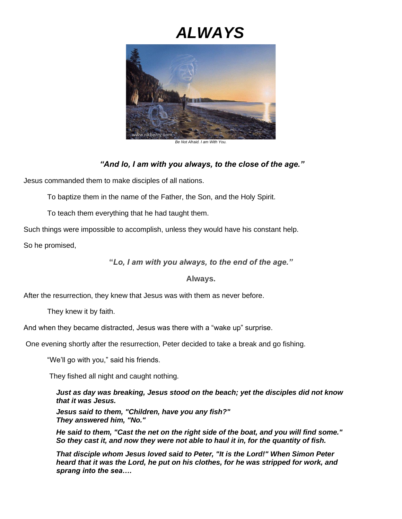## *ALWAYS*



*Be Not Afraid. I am With You.*

*"And lo, I am with you always, to the close of the age."*

Jesus commanded them to make disciples of all nations.

To baptize them in the name of the Father, the Son, and the Holy Spirit.

To teach them everything that he had taught them.

Such things were impossible to accomplish, unless they would have his constant help.

So he promised,

**"***Lo, I am with you always, to the end of the age."*

**Always.**

After the resurrection, they knew that Jesus was with them as never before.

They knew it by faith.

And when they became distracted, Jesus was there with a "wake up" surprise.

One evening shortly after the resurrection, Peter decided to take a break and go fishing.

"We'll go with you," said his friends.

They fished all night and caught nothing.

*Just as day was breaking, Jesus stood on the beach; yet the disciples did not know that it was Jesus.*

*Jesus said to them, "Children, have you any fish?" They answered him, "No."*

*He said to them, "Cast the net on the right side of the boat, and you will find some." So they cast it, and now they were not able to haul it in, for the quantity of fish.*

*That disciple whom Jesus loved said to Peter, "It is the Lord!" When Simon Peter heard that it was the Lord, he put on his clothes, for he was stripped for work, and sprang into the sea….*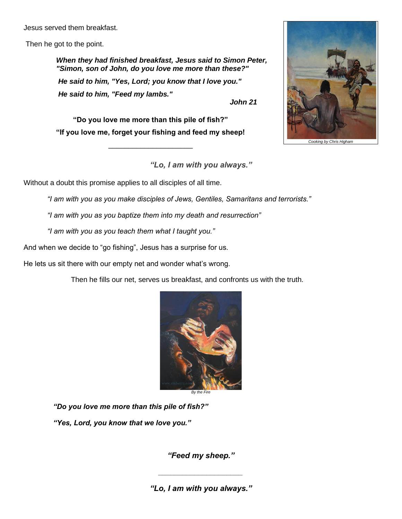Jesus served them breakfast.

Then he got to the point.

*When they had finished breakfast, Jesus said to Simon Peter, "Simon, son of John, do you love me more than these?" He said to him, "Yes, Lord; you know that I love you." He said to him, "Feed my lambs." John 21*

*Chris High* 

**"Do you love me more than this pile of fish?" "If you love me, forget your fishing and feed my sheep!**

\_\_\_\_\_\_\_\_\_\_\_\_\_\_\_\_\_\_\_\_\_

*"Lo, I am with you always."*

Without a doubt this promise applies to all disciples of all time.

*"I am with you as you make disciples of Jews, Gentiles, Samaritans and terrorists."*

*"I am with you as you baptize them into my death and resurrection"*

*"I am with you as you teach them what I taught you."*

And when we decide to "go fishing", Jesus has a surprise for us.

He lets us sit there with our empty net and wonder what's wrong.

Then he fills our net, serves us breakfast, and confronts us with the truth.



*"Do you love me more than this pile of fish?" "Yes, Lord, you know that we love you."*

*"Feed my sheep."*

*"Lo, I am with you always."*

*\_\_\_\_\_\_\_\_\_\_\_\_\_\_\_\_\_\_\_\_\_*